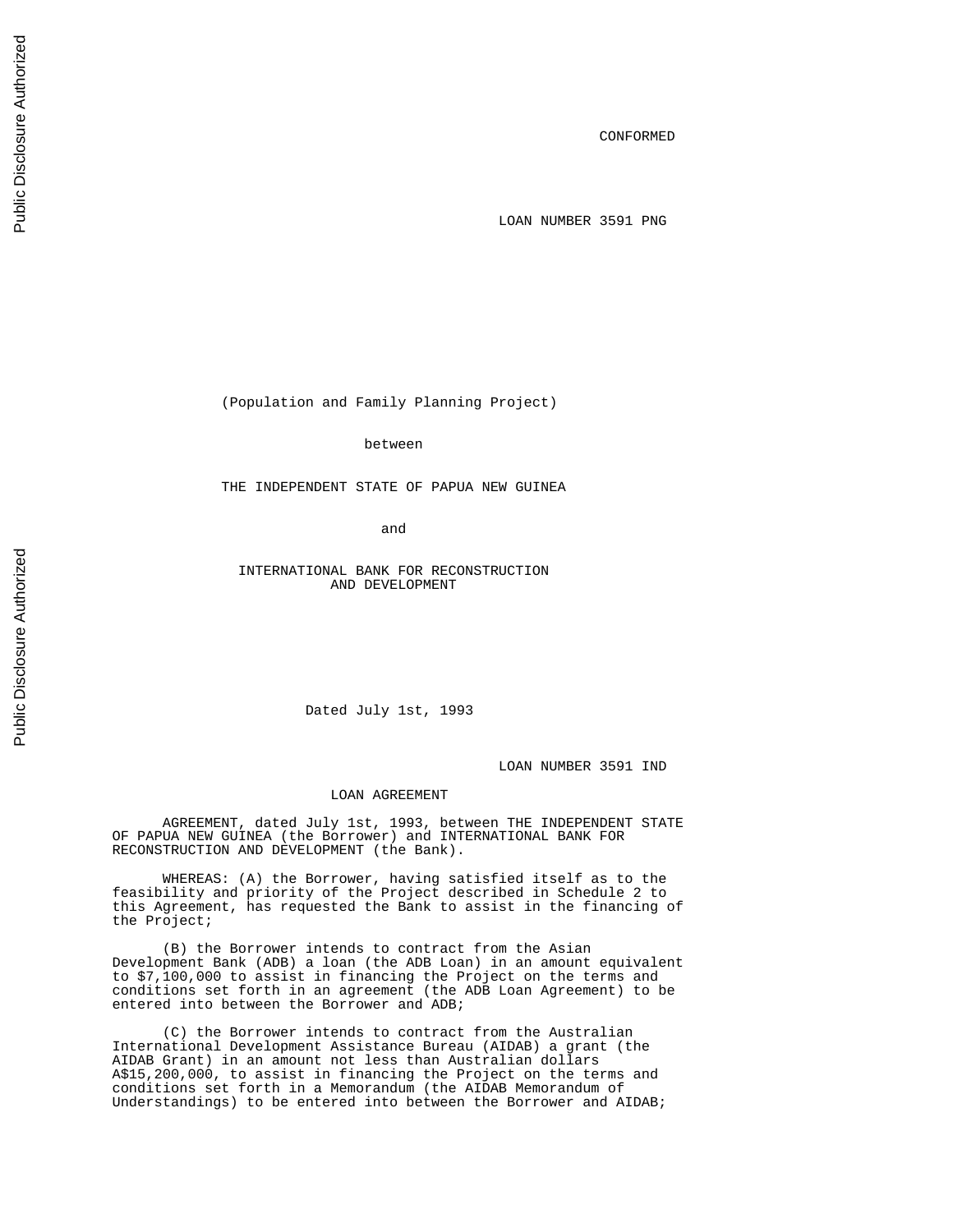CONFORMED

LOAN NUMBER 3591 PNG

(Population and Family Planning Project)

between

THE INDEPENDENT STATE OF PAPUA NEW GUINEA

and the contract of the contract of the contract of the contract of the contract of the contract of the contract of the contract of the contract of the contract of the contract of the contract of the contract of the contra

 INTERNATIONAL BANK FOR RECONSTRUCTION AND DEVELOPMENT

Dated July 1st, 1993

LOAN NUMBER 3591 IND

# LOAN AGREEMENT

 AGREEMENT, dated July 1st, 1993, between THE INDEPENDENT STATE OF PAPUA NEW GUINEA (the Borrower) and INTERNATIONAL BANK FOR RECONSTRUCTION AND DEVELOPMENT (the Bank).

 WHEREAS: (A) the Borrower, having satisfied itself as to the feasibility and priority of the Project described in Schedule 2 to this Agreement, has requested the Bank to assist in the financing of the Project;

 (B) the Borrower intends to contract from the Asian Development Bank (ADB) a loan (the ADB Loan) in an amount equivalent to \$7,100,000 to assist in financing the Project on the terms and conditions set forth in an agreement (the ADB Loan Agreement) to be entered into between the Borrower and ADB;

 (C) the Borrower intends to contract from the Australian International Development Assistance Bureau (AIDAB) a grant (the AIDAB Grant) in an amount not less than Australian dollars A\$15,200,000, to assist in financing the Project on the terms and conditions set forth in a Memorandum (the AIDAB Memorandum of Understandings) to be entered into between the Borrower and AIDAB;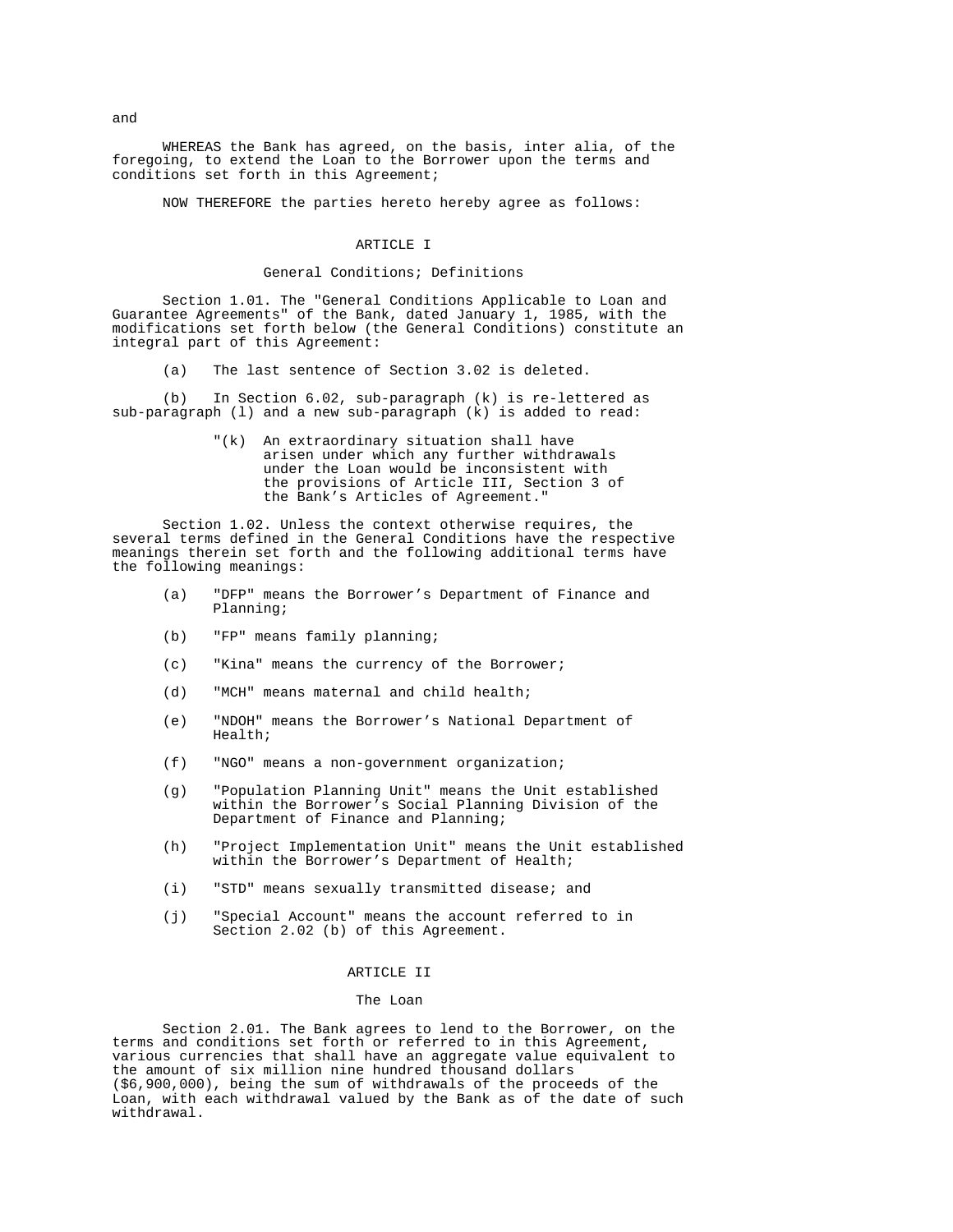WHEREAS the Bank has agreed, on the basis, inter alia, of the foregoing, to extend the Loan to the Borrower upon the terms and conditions set forth in this Agreement;

NOW THEREFORE the parties hereto hereby agree as follows:

#### ARTICLE I

#### General Conditions; Definitions

 Section 1.01. The "General Conditions Applicable to Loan and Guarantee Agreements" of the Bank, dated January 1, 1985, with the modifications set forth below (the General Conditions) constitute an integral part of this Agreement:

(a) The last sentence of Section 3.02 is deleted.

 (b) In Section 6.02, sub-paragraph (k) is re-lettered as sub-paragraph (l) and a new sub-paragraph (k) is added to read:

> "(k) An extraordinary situation shall have arisen under which any further withdrawals under the Loan would be inconsistent with the provisions of Article III, Section 3 of the Bank's Articles of Agreement."

 Section 1.02. Unless the context otherwise requires, the several terms defined in the General Conditions have the respective meanings therein set forth and the following additional terms have the following meanings:

- (a) "DFP" means the Borrower's Department of Finance and Planning;
- (b) "FP" means family planning;
- (c) "Kina" means the currency of the Borrower;
- (d) "MCH" means maternal and child health;
- (e) "NDOH" means the Borrower's National Department of Health;
- (f) "NGO" means a non-government organization;
- (g) "Population Planning Unit" means the Unit established within the Borrower's Social Planning Division of the Department of Finance and Planning;
- (h) "Project Implementation Unit" means the Unit established within the Borrower's Department of Health;
- (i) "STD" means sexually transmitted disease; and
- (j) "Special Account" means the account referred to in Section 2.02 (b) of this Agreement.

# ARTICLE II

#### The Loan

 Section 2.01. The Bank agrees to lend to the Borrower, on the terms and conditions set forth or referred to in this Agreement, various currencies that shall have an aggregate value equivalent to the amount of six million nine hundred thousand dollars (\$6,900,000), being the sum of withdrawals of the proceeds of the Loan, with each withdrawal valued by the Bank as of the date of such withdrawal.

and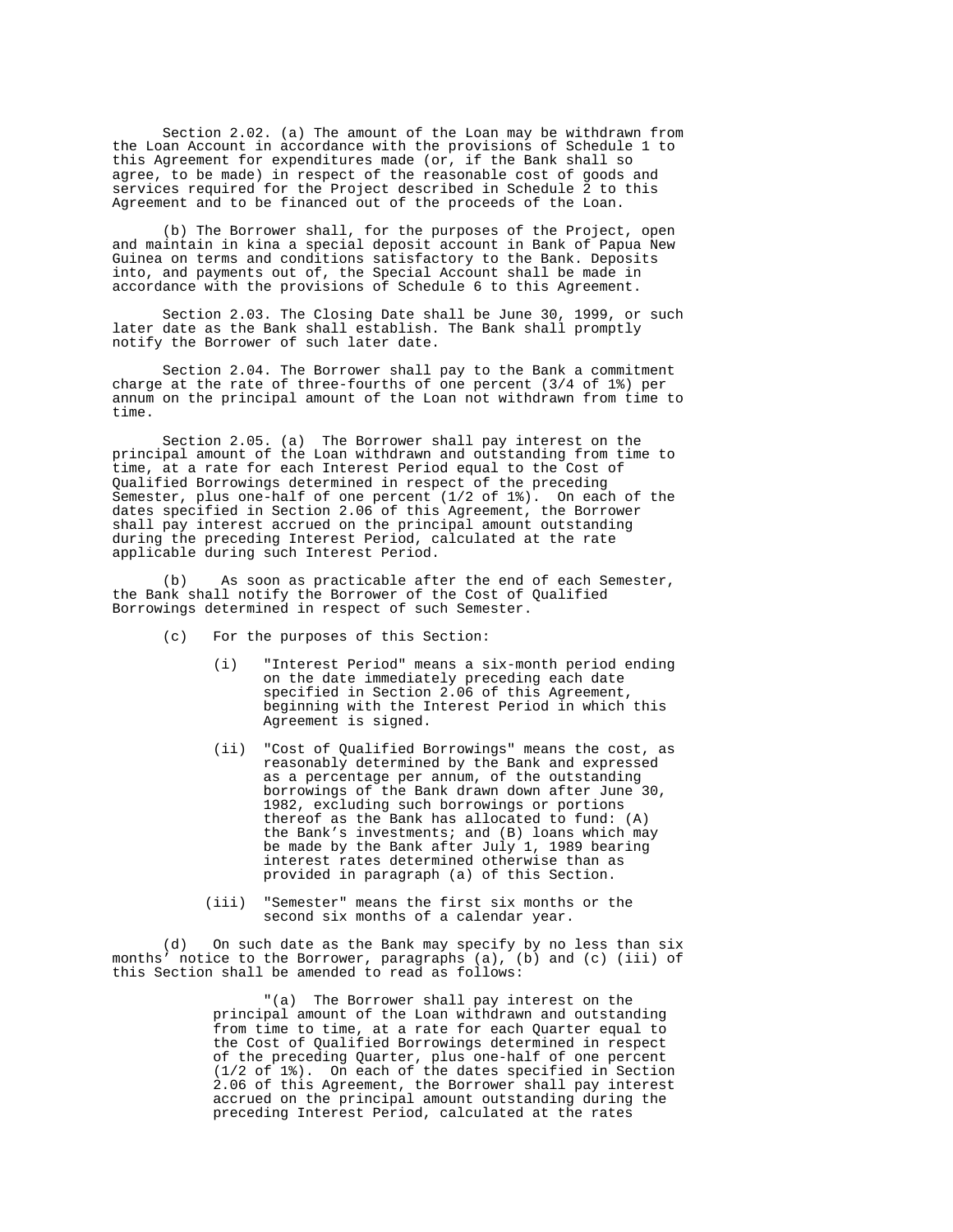Section 2.02. (a) The amount of the Loan may be withdrawn from the Loan Account in accordance with the provisions of Schedule 1 to this Agreement for expenditures made (or, if the Bank shall so agree, to be made) in respect of the reasonable cost of goods and services required for the Project described in Schedule 2 to this Agreement and to be financed out of the proceeds of the Loan.

 (b) The Borrower shall, for the purposes of the Project, open and maintain in kina a special deposit account in Bank of Papua New Guinea on terms and conditions satisfactory to the Bank. Deposits into, and payments out of, the Special Account shall be made in accordance with the provisions of Schedule 6 to this Agreement.

 Section 2.03. The Closing Date shall be June 30, 1999, or such later date as the Bank shall establish. The Bank shall promptly notify the Borrower of such later date.

 Section 2.04. The Borrower shall pay to the Bank a commitment charge at the rate of three-fourths of one percent (3/4 of 1%) per annum on the principal amount of the Loan not withdrawn from time to time.

 Section 2.05. (a) The Borrower shall pay interest on the principal amount of the Loan withdrawn and outstanding from time to time, at a rate for each Interest Period equal to the Cost of Qualified Borrowings determined in respect of the preceding Semester, plus one-half of one percent (1/2 of 1%). On each of the dates specified in Section 2.06 of this Agreement, the Borrower shall pay interest accrued on the principal amount outstanding during the preceding Interest Period, calculated at the rate applicable during such Interest Period.

 (b) As soon as practicable after the end of each Semester, the Bank shall notify the Borrower of the Cost of Qualified Borrowings determined in respect of such Semester.

- (c) For the purposes of this Section:
- (i) "Interest Period" means a six-month period ending on the date immediately preceding each date specified in Section 2.06 of this Agreement, beginning with the Interest Period in which this Agreement is signed.
	- (ii) "Cost of Qualified Borrowings" means the cost, as reasonably determined by the Bank and expressed as a percentage per annum, of the outstanding borrowings of the Bank drawn down after June 30, 1982, excluding such borrowings or portions thereof as the Bank has allocated to fund: (A) the Bank's investments; and (B) loans which may be made by the Bank after July 1, 1989 bearing interest rates determined otherwise than as provided in paragraph (a) of this Section.
	- (iii) "Semester" means the first six months or the second six months of a calendar year.

 (d) On such date as the Bank may specify by no less than six months' notice to the Borrower, paragraphs (a), (b) and (c) (iii) of this Section shall be amended to read as follows:

 "(a) The Borrower shall pay interest on the principal amount of the Loan withdrawn and outstanding from time to time, at a rate for each Quarter equal to the Cost of Qualified Borrowings determined in respect of the preceding Quarter, plus one-half of one percent (1/2 of 1%). On each of the dates specified in Section 2.06 of this Agreement, the Borrower shall pay interest accrued on the principal amount outstanding during the preceding Interest Period, calculated at the rates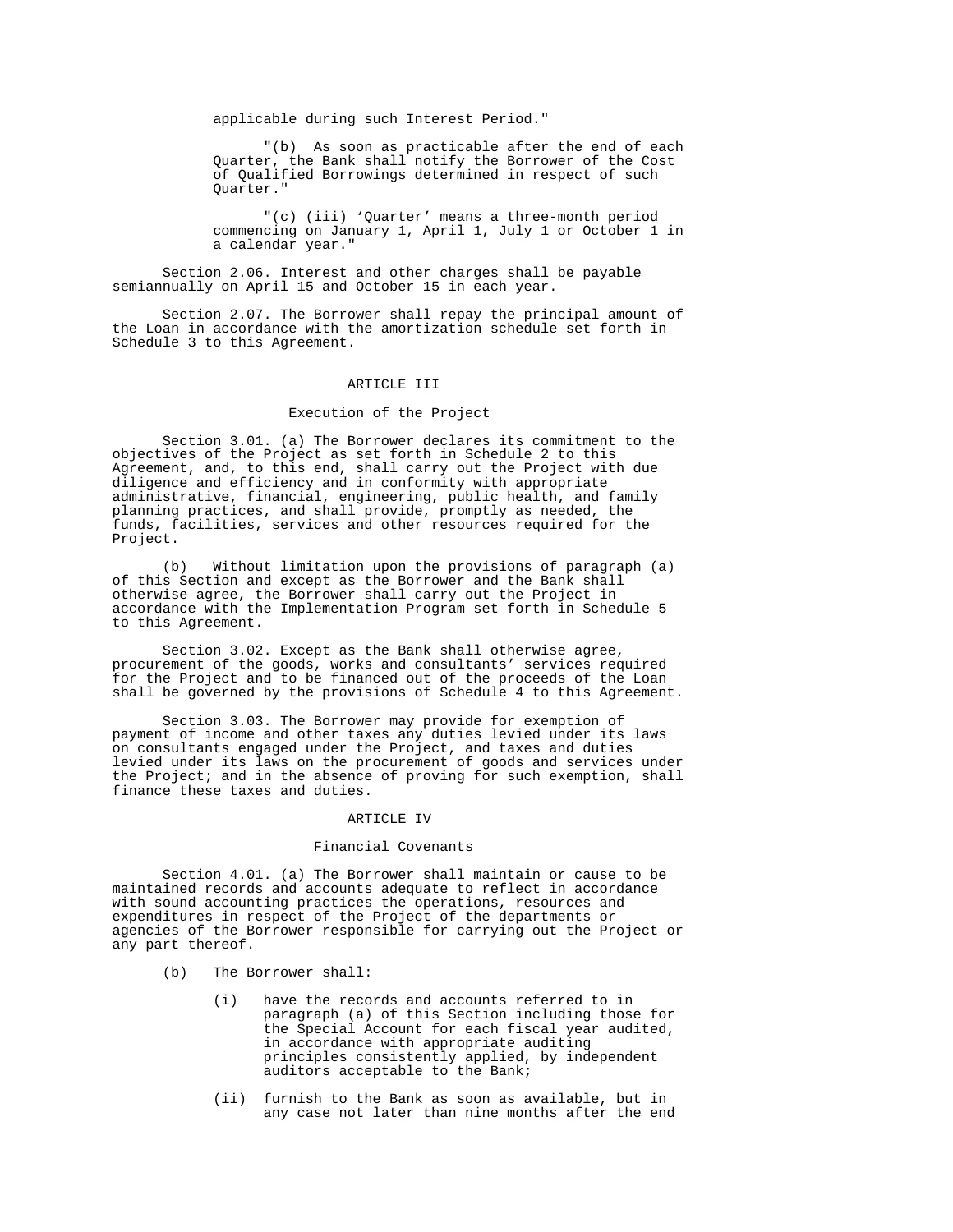applicable during such Interest Period."

 "(b) As soon as practicable after the end of each Quarter, the Bank shall notify the Borrower of the Cost of Qualified Borrowings determined in respect of such Quarter."

 "(c) (iii) 'Quarter' means a three-month period commencing on January 1, April 1, July 1 or October 1 in a calendar year."

 Section 2.06. Interest and other charges shall be payable semiannually on April 15 and October 15 in each year.

 Section 2.07. The Borrower shall repay the principal amount of the Loan in accordance with the amortization schedule set forth in Schedule 3 to this Agreement.

#### ARTICLE III

#### Execution of the Project

 Section 3.01. (a) The Borrower declares its commitment to the objectives of the Project as set forth in Schedule 2 to this Agreement, and, to this end, shall carry out the Project with due diligence and efficiency and in conformity with appropriate administrative, financial, engineering, public health, and family planning practices, and shall provide, promptly as needed, the funds, facilities, services and other resources required for the Project.

 (b) Without limitation upon the provisions of paragraph (a) of this Section and except as the Borrower and the Bank shall otherwise agree, the Borrower shall carry out the Project in accordance with the Implementation Program set forth in Schedule 5 to this Agreement.

 Section 3.02. Except as the Bank shall otherwise agree, procurement of the goods, works and consultants' services required for the Project and to be financed out of the proceeds of the Loan shall be governed by the provisions of Schedule 4 to this Agreement.

 Section 3.03. The Borrower may provide for exemption of payment of income and other taxes any duties levied under its laws on consultants engaged under the Project, and taxes and duties levied under its laws on the procurement of goods and services under the Project; and in the absence of proving for such exemption, shall finance these taxes and duties.

# ARTICLE IV

# Financial Covenants

 Section 4.01. (a) The Borrower shall maintain or cause to be maintained records and accounts adequate to reflect in accordance with sound accounting practices the operations, resources and expenditures in respect of the Project of the departments or agencies of the Borrower responsible for carrying out the Project or any part thereof.

- (b) The Borrower shall:
	- (i) have the records and accounts referred to in paragraph (a) of this Section including those for the Special Account for each fiscal year audited, in accordance with appropriate auditing principles consistently applied, by independent auditors acceptable to the Bank;
	- (ii) furnish to the Bank as soon as available, but in any case not later than nine months after the end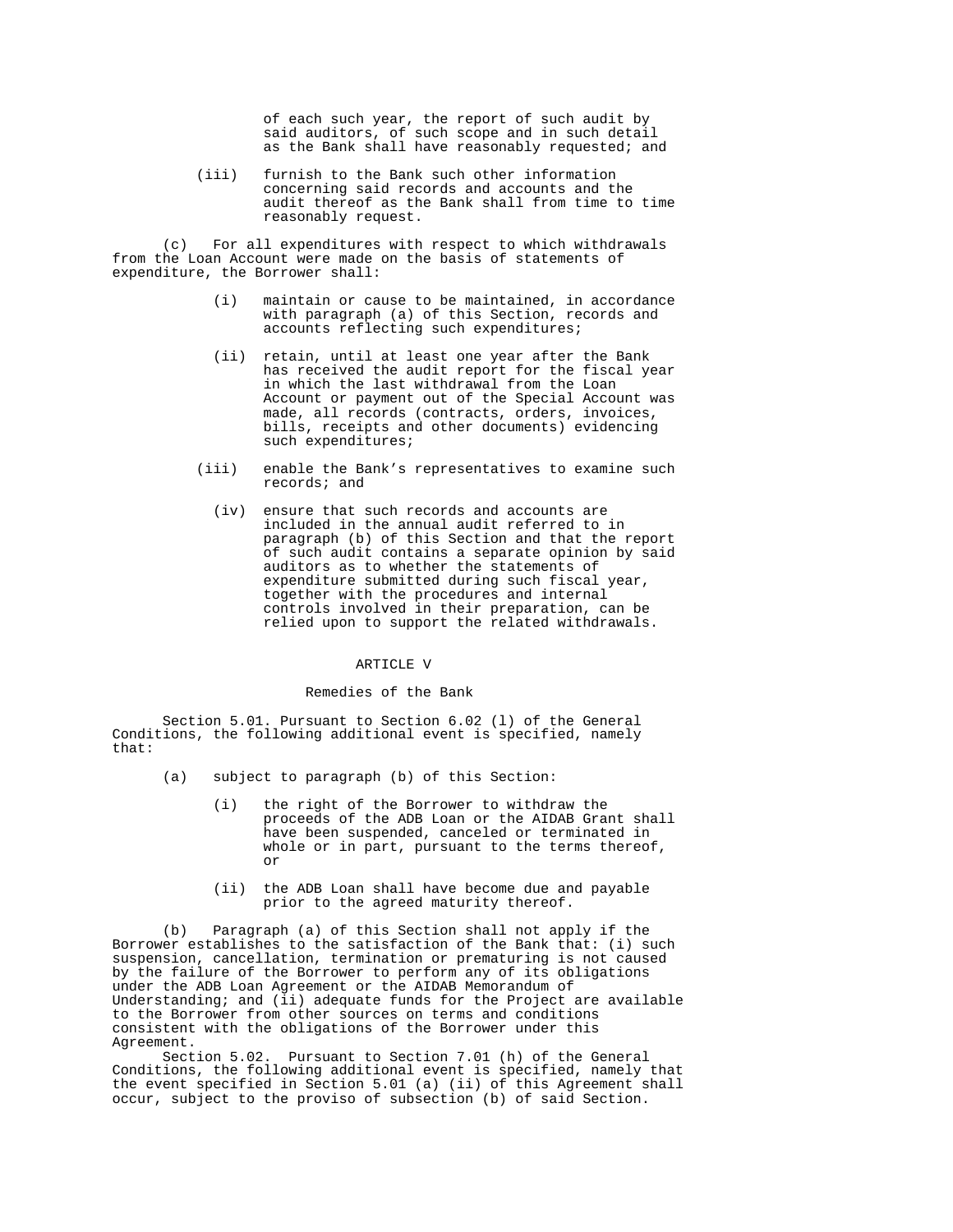of each such year, the report of such audit by said auditors, of such scope and in such detail as the Bank shall have reasonably requested; and

 (iii) furnish to the Bank such other information concerning said records and accounts and the audit thereof as the Bank shall from time to time reasonably request.

 (c) For all expenditures with respect to which withdrawals from the Loan Account were made on the basis of statements of expenditure, the Borrower shall:

- (i) maintain or cause to be maintained, in accordance with paragraph (a) of this Section, records and accounts reflecting such expenditures;
- (ii) retain, until at least one year after the Bank has received the audit report for the fiscal year in which the last withdrawal from the Loan Account or payment out of the Special Account was made, all records (contracts, orders, invoices, bills, receipts and other documents) evidencing such expenditures;
- (iii) enable the Bank's representatives to examine such records; and
	- (iv) ensure that such records and accounts are included in the annual audit referred to in paragraph (b) of this Section and that the report of such audit contains a separate opinion by said auditors as to whether the statements of expenditure submitted during such fiscal year, together with the procedures and internal controls involved in their preparation, can be relied upon to support the related withdrawals.

# ARTICLE V

## Remedies of the Bank

 Section 5.01. Pursuant to Section 6.02 (l) of the General Conditions, the following additional event is specified, namely that:

- (a) subject to paragraph (b) of this Section:
- (i) the right of the Borrower to withdraw the proceeds of the ADB Loan or the AIDAB Grant shall have been suspended, canceled or terminated in whole or in part, pursuant to the terms thereof, **or** *or* 
	- (ii) the ADB Loan shall have become due and payable prior to the agreed maturity thereof.

 (b) Paragraph (a) of this Section shall not apply if the Borrower establishes to the satisfaction of the Bank that: (i) such suspension, cancellation, termination or prematuring is not caused by the failure of the Borrower to perform any of its obligations under the ADB Loan Agreement or the AIDAB Memorandum of Understanding; and  $(ii)$  adequate funds for the Project are available to the Borrower from other sources on terms and conditions consistent with the obligations of the Borrower under this Agreement.

 Section 5.02. Pursuant to Section 7.01 (h) of the General Conditions, the following additional event is specified, namely that the event specified in Section 5.01 (a) (ii) of this Agreement shall occur, subject to the proviso of subsection (b) of said Section.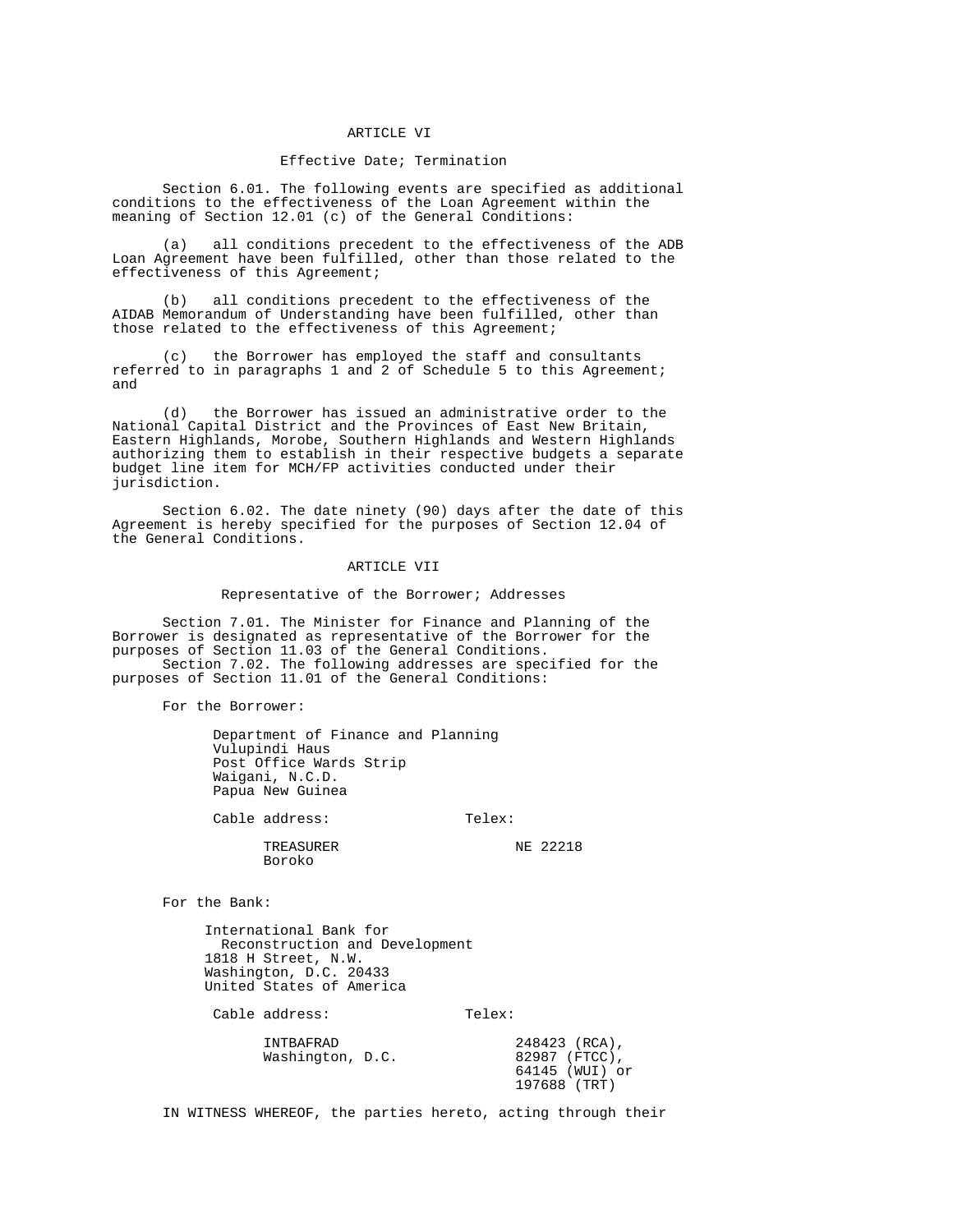### ARTICLE VI

# Effective Date; Termination

 Section 6.01. The following events are specified as additional conditions to the effectiveness of the Loan Agreement within the meaning of Section 12.01 (c) of the General Conditions:

 (a) all conditions precedent to the effectiveness of the ADB Loan Agreement have been fulfilled, other than those related to the effectiveness of this Agreement;

 (b) all conditions precedent to the effectiveness of the AIDAB Memorandum of Understanding have been fulfilled, other than those related to the effectiveness of this Agreement;

 (c) the Borrower has employed the staff and consultants referred to in paragraphs 1 and 2 of Schedule 5 to this Agreement; and

 (d) the Borrower has issued an administrative order to the National Capital District and the Provinces of East New Britain, Eastern Highlands, Morobe, Southern Highlands and Western Highlands authorizing them to establish in their respective budgets a separate budget line item for MCH/FP activities conducted under their jurisdiction.

 Section 6.02. The date ninety (90) days after the date of this Agreement is hereby specified for the purposes of Section 12.04 of the General Conditions.

### ARTICLE VII

### Representative of the Borrower; Addresses

 Section 7.01. The Minister for Finance and Planning of the Borrower is designated as representative of the Borrower for the purposes of Section 11.03 of the General Conditions. Section 7.02. The following addresses are specified for the purposes of Section 11.01 of the General Conditions:

For the Borrower:

 Department of Finance and Planning Vulupindi Haus Post Office Wards Strip Waigani, N.C.D. Papua New Guinea

Cable address: Telex:

TREASURER NE 22218 Boroko

For the Bank:

 International Bank for Reconstruction and Development 1818 H Street, N.W. Washington, D.C. 20433 United States of America

Cable address: Telex:

| INTBAFRAD        | 248423 (RCA),  |
|------------------|----------------|
| Washington, D.C. | 82987 (FTCC),  |
|                  | 64145 (WUI) or |
|                  | 197688 (TRT)   |

IN WITNESS WHEREOF, the parties hereto, acting through their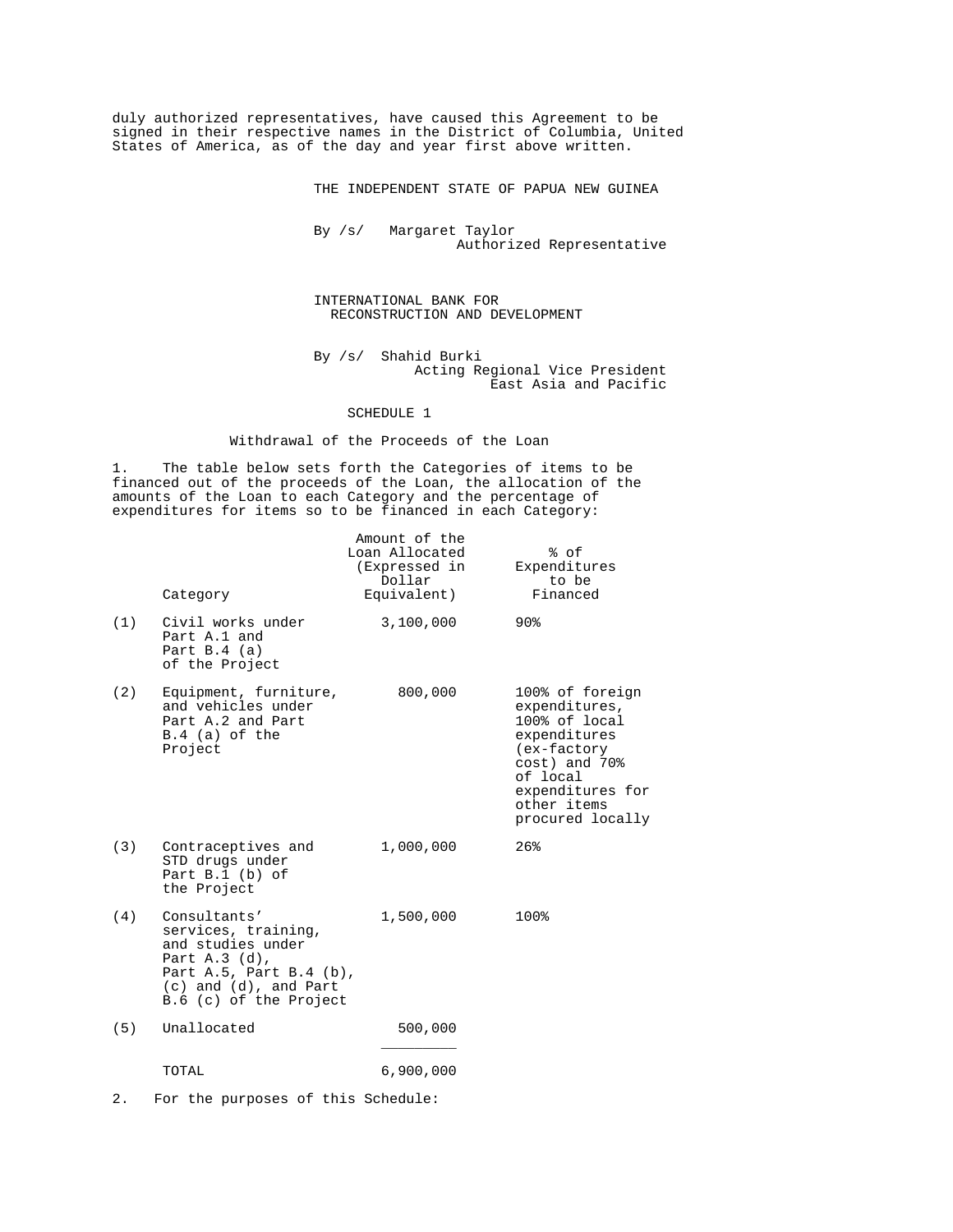duly authorized representatives, have caused this Agreement to be signed in their respective names in the District of Columbia, United States of America, as of the day and year first above written.

THE INDEPENDENT STATE OF PAPUA NEW GUINEA

 By /s/ Margaret Taylor Authorized Representative

# INTERNATIONAL BANK FOR RECONSTRUCTION AND DEVELOPMENT

 By /s/ Shahid Burki Acting Regional Vice President East Asia and Pacific

SCHEDULE 1

# Withdrawal of the Proceeds of the Loan

1. The table below sets forth the Categories of items to be financed out of the proceeds of the Loan, the allocation of the amounts of the Loan to each Category and the percentage of expenditures for items so to be financed in each Category:

|     | Category                                                                                                                                                        | Amount of the<br>Loan Allocated<br>(Expressed in<br>Dollar<br>Equivalent) | % of<br>Expenditures<br>to be<br>Financed                                                                                                                            |
|-----|-----------------------------------------------------------------------------------------------------------------------------------------------------------------|---------------------------------------------------------------------------|----------------------------------------------------------------------------------------------------------------------------------------------------------------------|
| (1) | Civil works under<br>Part A.1 and<br>Part $B.4$ (a)<br>of the Project                                                                                           | 3,100,000                                                                 | $90\%$                                                                                                                                                               |
| (2) | Equipment, furniture,<br>and vehicles under<br>Part A.2 and Part<br>$B.4$ (a) of the<br>Project                                                                 | 800,000                                                                   | 100% of foreign<br>expenditures,<br>100% of local<br>expenditures<br>(ex-factory<br>cost) and 70%<br>of local<br>expenditures for<br>other items<br>procured locally |
| (3) | Contraceptives and<br>STD drugs under<br>Part $B.1$ (b) of<br>the Project                                                                                       | 1,000,000                                                                 | 26%                                                                                                                                                                  |
| (4) | Consultants'<br>services, training,<br>and studies under<br>Part A.3 (d),<br>Part A.5, Part B.4 $(b)$ ,<br>$(c)$ and $(d)$ , and Part<br>B.6 (c) of the Project | 1,500,000                                                                 | 100%                                                                                                                                                                 |
| (5) | Unallocated                                                                                                                                                     | 500,000                                                                   |                                                                                                                                                                      |
|     | TOTAL                                                                                                                                                           | 6,900,000                                                                 |                                                                                                                                                                      |
|     |                                                                                                                                                                 |                                                                           |                                                                                                                                                                      |

2. For the purposes of this Schedule: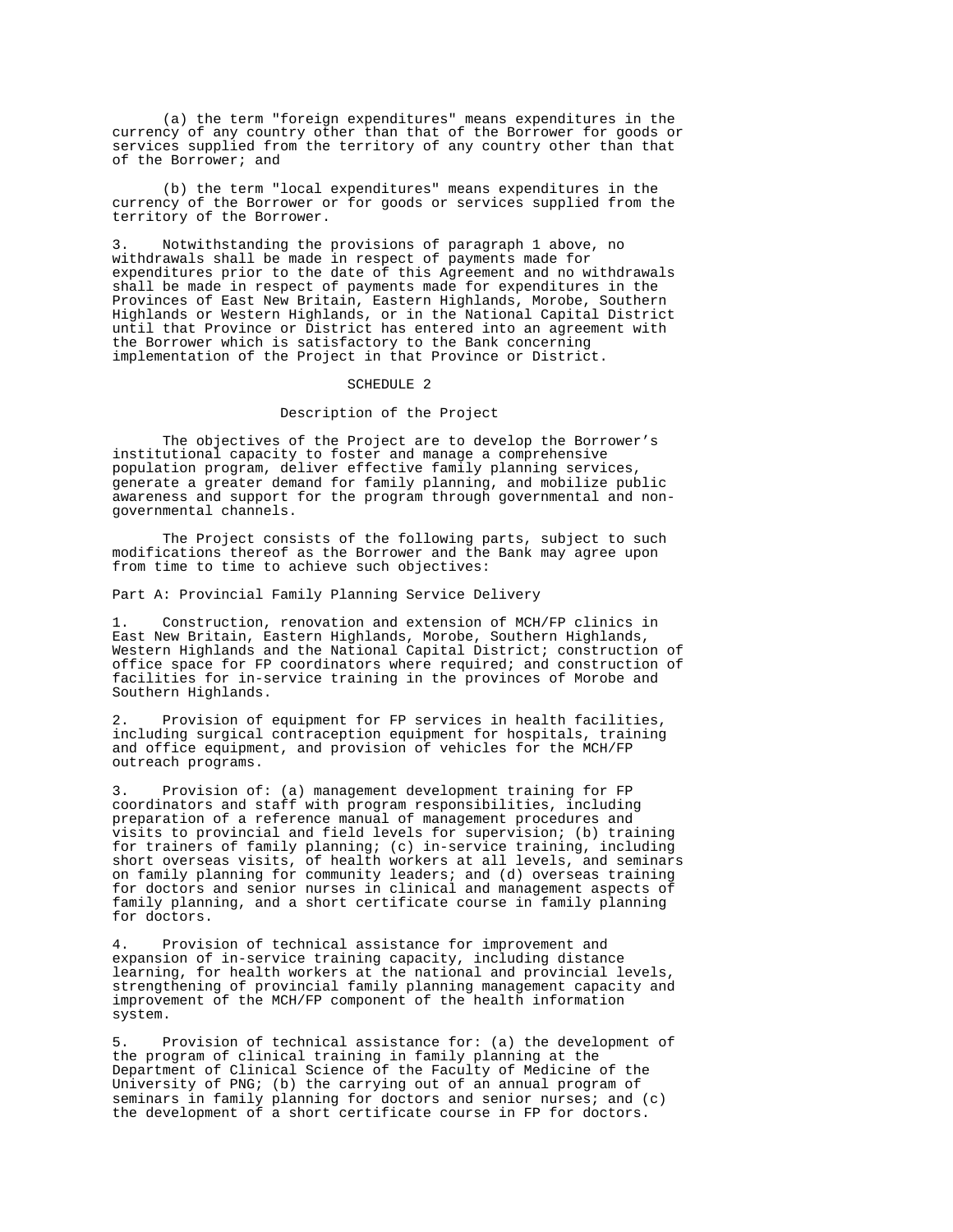(a) the term "foreign expenditures" means expenditures in the currency of any country other than that of the Borrower for goods or services supplied from the territory of any country other than that of the Borrower; and

 (b) the term "local expenditures" means expenditures in the currency of the Borrower or for goods or services supplied from the territory of the Borrower.

Notwithstanding the provisions of paragraph 1 above, no withdrawals shall be made in respect of payments made for expenditures prior to the date of this Agreement and no withdrawals shall be made in respect of payments made for expenditures in the Provinces of East New Britain, Eastern Highlands, Morobe, Southern Highlands or Western Highlands, or in the National Capital District until that Province or District has entered into an agreement with the Borrower which is satisfactory to the Bank concerning implementation of the Project in that Province or District.

#### SCHEDULE 2

Description of the Project

 The objectives of the Project are to develop the Borrower's institutional capacity to foster and manage a comprehensive population program, deliver effective family planning services, generate a greater demand for family planning, and mobilize public awareness and support for the program through governmental and nongovernmental channels.

 The Project consists of the following parts, subject to such modifications thereof as the Borrower and the Bank may agree upon from time to time to achieve such objectives:

Part A: Provincial Family Planning Service Delivery

1. Construction, renovation and extension of MCH/FP clinics in East New Britain, Eastern Highlands, Morobe, Southern Highlands, Western Highlands and the National Capital District; construction of office space for FP coordinators where required; and construction of facilities for in-service training in the provinces of Morobe and Southern Highlands.

2. Provision of equipment for FP services in health facilities, including surgical contraception equipment for hospitals, training and office equipment, and provision of vehicles for the MCH/FP outreach programs.

3. Provision of: (a) management development training for FP coordinators and staff with program responsibilities, including preparation of a reference manual of management procedures and visits to provincial and field levels for supervision; (b) training for trainers of family planning; (c) in-service training, including short overseas visits, of health workers at all levels, and seminars on family planning for community leaders; and (d) overseas training for doctors and senior nurses in clinical and management aspects of family planning, and a short certificate course in family planning for doctors.

Provision of technical assistance for improvement and expansion of in-service training capacity, including distance learning, for health workers at the national and provincial levels, strengthening of provincial family planning management capacity and improvement of the MCH/FP component of the health information system.

Provision of technical assistance for: (a) the development of the program of clinical training in family planning at the Department of Clinical Science of the Faculty of Medicine of the University of PNG; (b) the carrying out of an annual program of seminars in family planning for doctors and senior nurses; and (c) the development of a short certificate course in FP for doctors.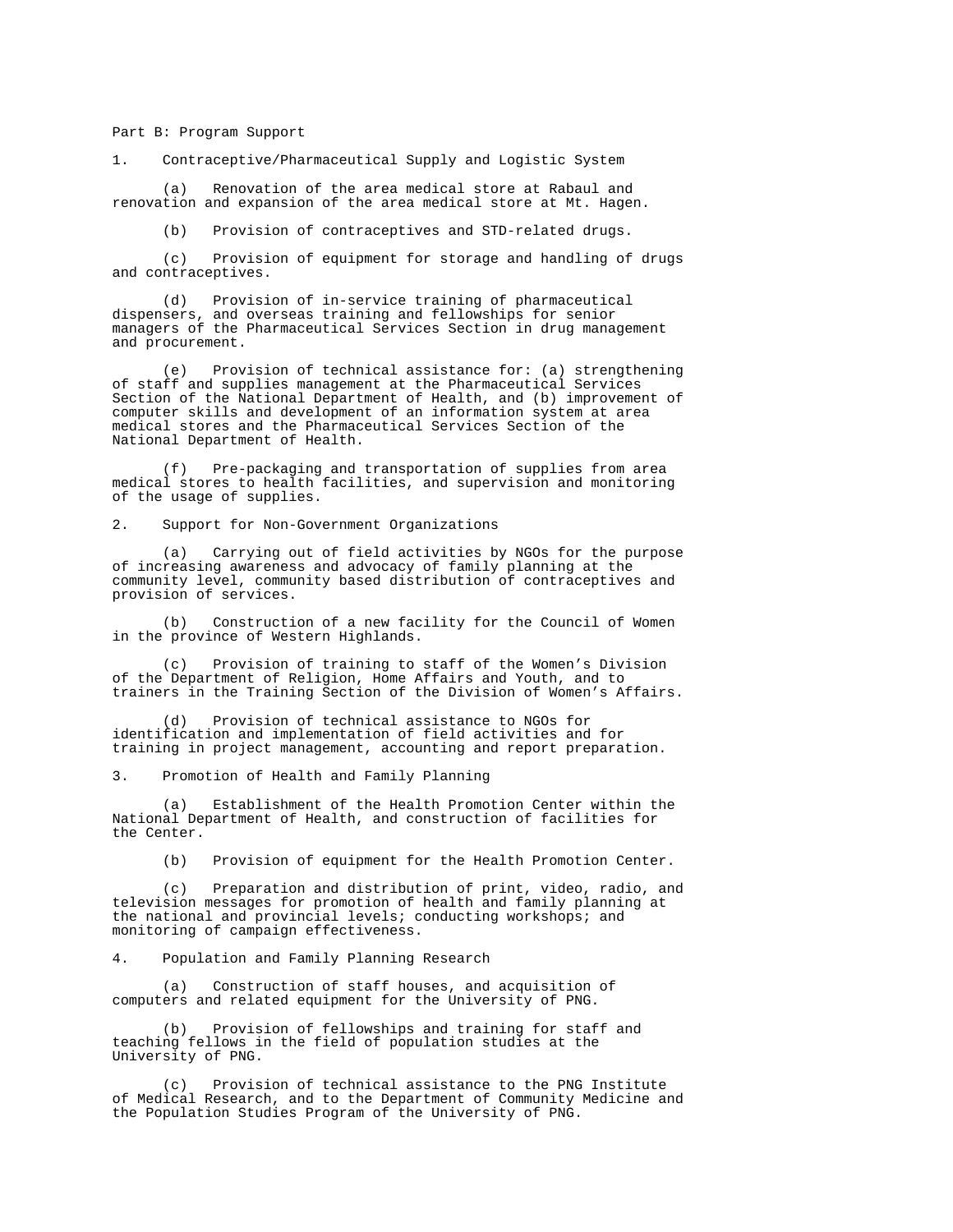Part B: Program Support

1. Contraceptive/Pharmaceutical Supply and Logistic System

 (a) Renovation of the area medical store at Rabaul and renovation and expansion of the area medical store at Mt. Hagen.

(b) Provision of contraceptives and STD-related drugs.

 (c) Provision of equipment for storage and handling of drugs and contraceptives.

 (d) Provision of in-service training of pharmaceutical dispensers, and overseas training and fellowships for senior managers of the Pharmaceutical Services Section in drug management and procurement.

 (e) Provision of technical assistance for: (a) strengthening of staff and supplies management at the Pharmaceutical Services Section of the National Department of Health, and (b) improvement of computer skills and development of an information system at area medical stores and the Pharmaceutical Services Section of the National Department of Health.

 (f) Pre-packaging and transportation of supplies from area medical stores to health facilities, and supervision and monitoring of the usage of supplies.

2. Support for Non-Government Organizations

 (a) Carrying out of field activities by NGOs for the purpose of increasing awareness and advocacy of family planning at the community level, community based distribution of contraceptives and provision of services.

 (b) Construction of a new facility for the Council of Women in the province of Western Highlands.

 (c) Provision of training to staff of the Women's Division of the Department of Religion, Home Affairs and Youth, and to trainers in the Training Section of the Division of Women's Affairs.

 (d) Provision of technical assistance to NGOs for identification and implementation of field activities and for training in project management, accounting and report preparation.

3. Promotion of Health and Family Planning

 (a) Establishment of the Health Promotion Center within the National Department of Health, and construction of facilities for the Center.

(b) Provision of equipment for the Health Promotion Center.

 (c) Preparation and distribution of print, video, radio, and television messages for promotion of health and family planning at the national and provincial levels; conducting workshops; and monitoring of campaign effectiveness.

4. Population and Family Planning Research

 (a) Construction of staff houses, and acquisition of computers and related equipment for the University of PNG.

 (b) Provision of fellowships and training for staff and teaching fellows in the field of population studies at the University of PNG.

 (c) Provision of technical assistance to the PNG Institute of Medical Research, and to the Department of Community Medicine and the Population Studies Program of the University of PNG.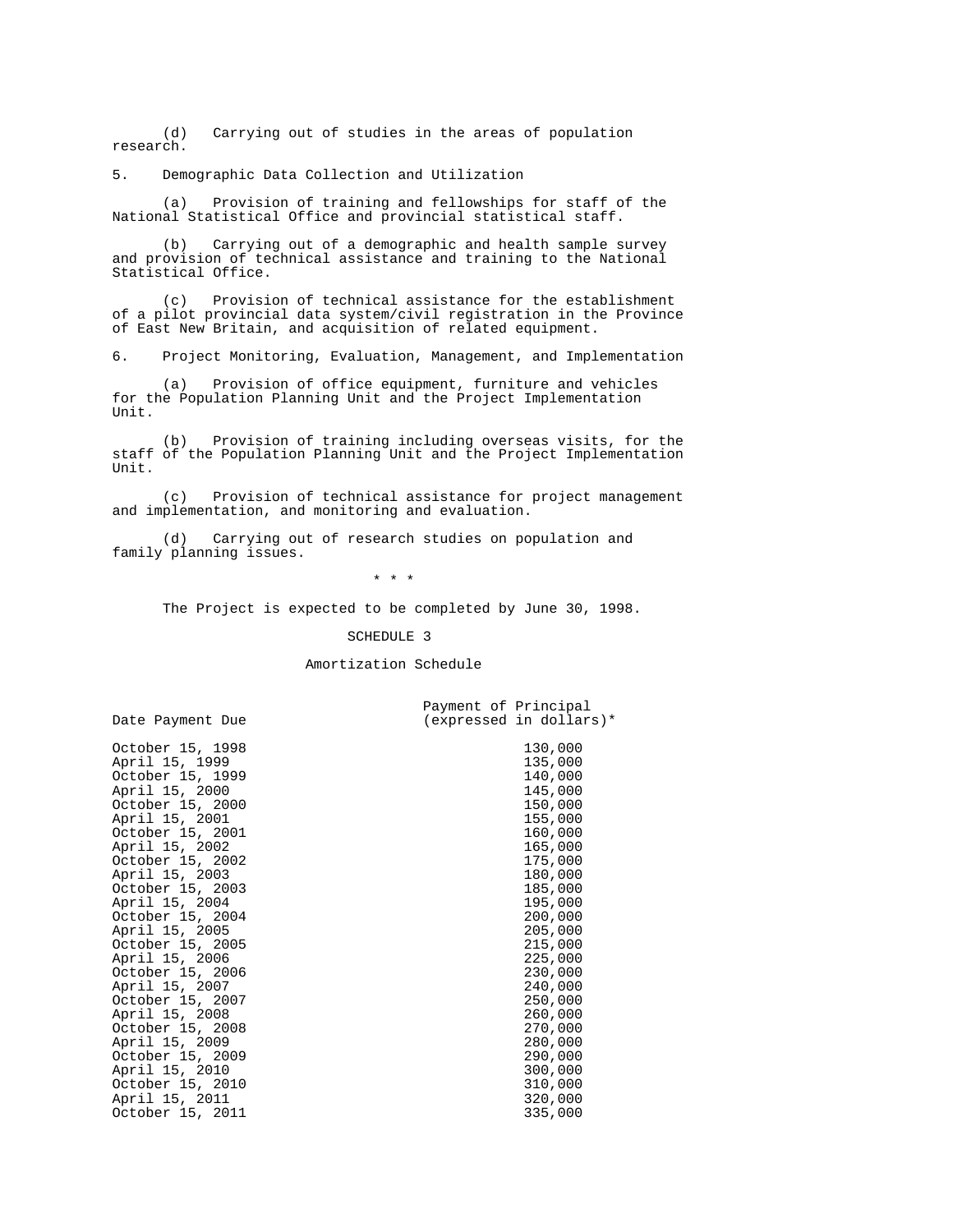(d) Carrying out of studies in the areas of population research.

5. Demographic Data Collection and Utilization

 (a) Provision of training and fellowships for staff of the National Statistical Office and provincial statistical staff.

 (b) Carrying out of a demographic and health sample survey and provision of technical assistance and training to the National Statistical Office.

 (c) Provision of technical assistance for the establishment of a pilot provincial data system/civil registration in the Province of East New Britain, and acquisition of related equipment.

6. Project Monitoring, Evaluation, Management, and Implementation

 (a) Provision of office equipment, furniture and vehicles for the Population Planning Unit and the Project Implementation  $IInif.$ 

 (b) Provision of training including overseas visits, for the staff of the Population Planning Unit and the Project Implementation  $IInif.$ 

 (c) Provision of technical assistance for project management and implementation, and monitoring and evaluation.

 (d) Carrying out of research studies on population and family planning issues.

Payment of Principal

\* \* \*

The Project is expected to be completed by June 30, 1998.

#### SCHEDULE 3

#### Amortization Schedule

Date Payment Due (expressed in dollars)\*

October 15, 2003<br>
April 15, 2004<br>
195,000 April 15, 2004 195,000<br>October 15, 2004 200,000 October 15, 2004 200,000<br>
April 15, 2005 205,000 April 15, 2005<br>
October 15, 2005<br>
215,000 October 15, 2005<br>
April 15, 2006<br>
225,000 April 15, 2006<br>
October 15, 2006<br>
230,000 October 15, 2006 230,000<br>
April 15, 2007 240,000 April 15, 2007 240,000<br>October 15, 2007 250,000 October 15, 2007 250,000<br>
April 15, 2008 260,000 April 15, 2008 260,000<br>October 15, 2008 270,000 October 15, 2008 270,000<br>April 15, 2009 280,000 April 15, 2009<br>
October 15, 2009<br>
290,000 October 15, 2009 290,000<br>
April 15, 2010 200,000 April 15, 2010<br>
October 15, 2010<br>
310,000 October 15, 2010<br>
April 15, 2011<br>
320,000 April 15, 2011 320,000<br>October 15, 2011 335,000 October 15, 2011

October 15, 1998 130,000<br>
April 15, 1999 135,000 April 15, 1999 135,000<br>October 15, 1999 140,000 October 15, 1999 140,000<br>
April 15, 2000 145,000 April 15, 2000<br>
October 15, 2000<br>
150,000 October 15, 2000<br>
April 15, 2001<br>
155,000 April 15, 2001 155,000<br>October 15, 2001 160,000 October 15, 2001 160,000<br>
April 15, 2002 165,000 April 15, 2002<br>
October 15, 2002<br>
175,000 October 15, 2002<br>
April 15, 2003<br>
180,000<br>
180,000 April 15, 2003<br>October 15, 2003<br>185,000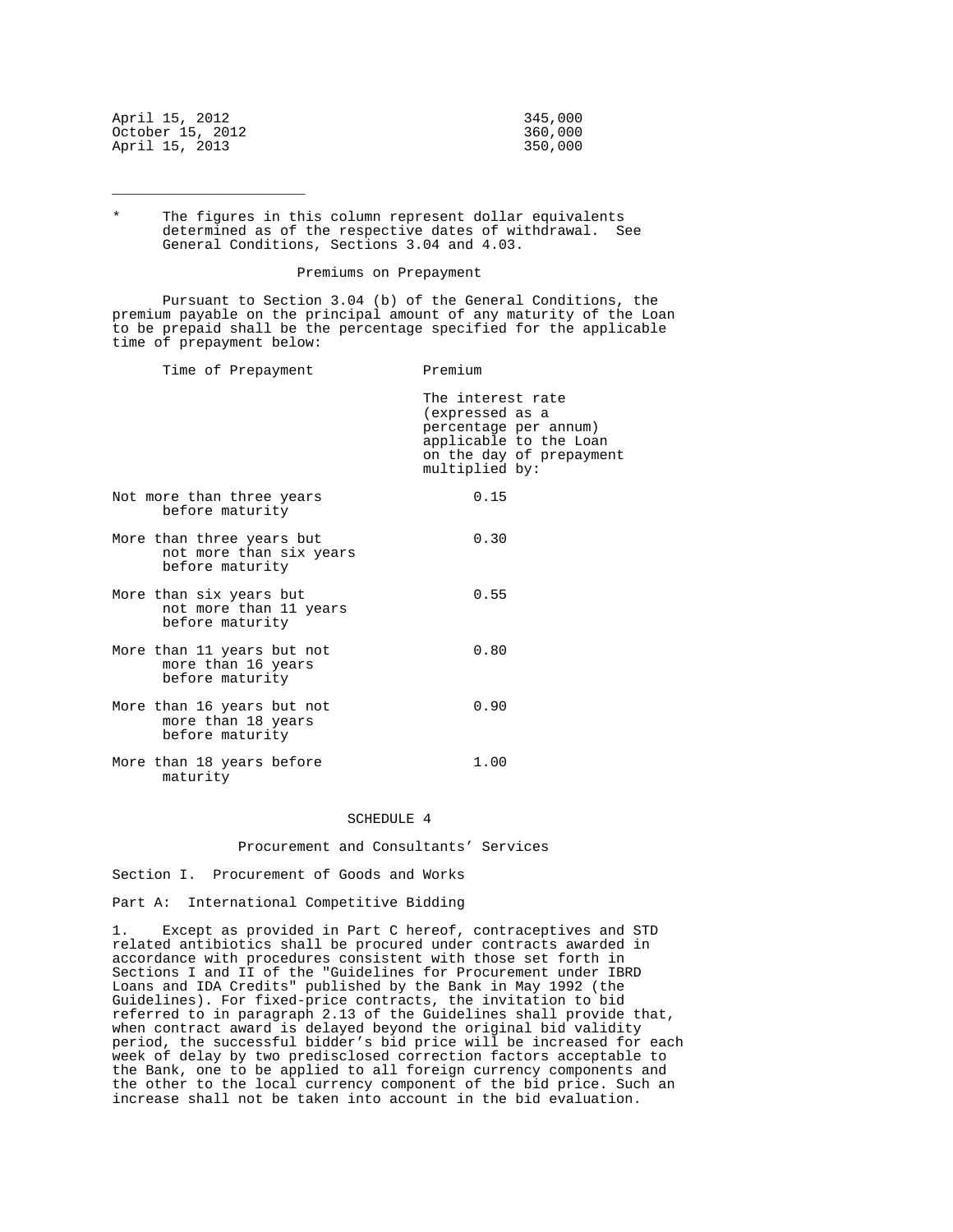| April 15, 2012   | 345,000 |
|------------------|---------|
| October 15, 2012 | 360,000 |
| April 15, 2013   | 350,000 |

\_\_\_\_\_\_\_\_\_\_\_\_\_\_\_\_\_\_\_\_\_\_\_

The figures in this column represent dollar equivalents determined as of the respective dates of withdrawal. See General Conditions, Sections 3.04 and 4.03.

## Premiums on Prepayment

 Pursuant to Section 3.04 (b) of the General Conditions, the premium payable on the principal amount of any maturity of the Loan to be prepaid shall be the percentage specified for the applicable time of prepayment below:

Time of Prepayment Premium The interest rate (expressed as a percentage per annum) applicable to the Loan on the day of prepayment multiplied by: Not more than three years 0.15 before maturity More than three years but 0.30 not more than six years before maturity More than six years but 0.55 not more than 11 years before maturity More than 11 years but not 0.80 more than 16 years before maturity More than 16 years but not 0.90 more than 18 years before maturity More than 18 years before 1.00 maturity

# SCHEDULE 4

# Procurement and Consultants' Services

Section I. Procurement of Goods and Works

Part A: International Competitive Bidding

1. Except as provided in Part C hereof, contraceptives and STD related antibiotics shall be procured under contracts awarded in accordance with procedures consistent with those set forth in Sections I and II of the "Guidelines for Procurement under IBRD Loans and IDA Credits" published by the Bank in May 1992 (the Guidelines). For fixed-price contracts, the invitation to bid referred to in paragraph 2.13 of the Guidelines shall provide that, when contract award is delayed beyond the original bid validity period, the successful bidder's bid price will be increased for each week of delay by two predisclosed correction factors acceptable to the Bank, one to be applied to all foreign currency components and the other to the local currency component of the bid price. Such an increase shall not be taken into account in the bid evaluation.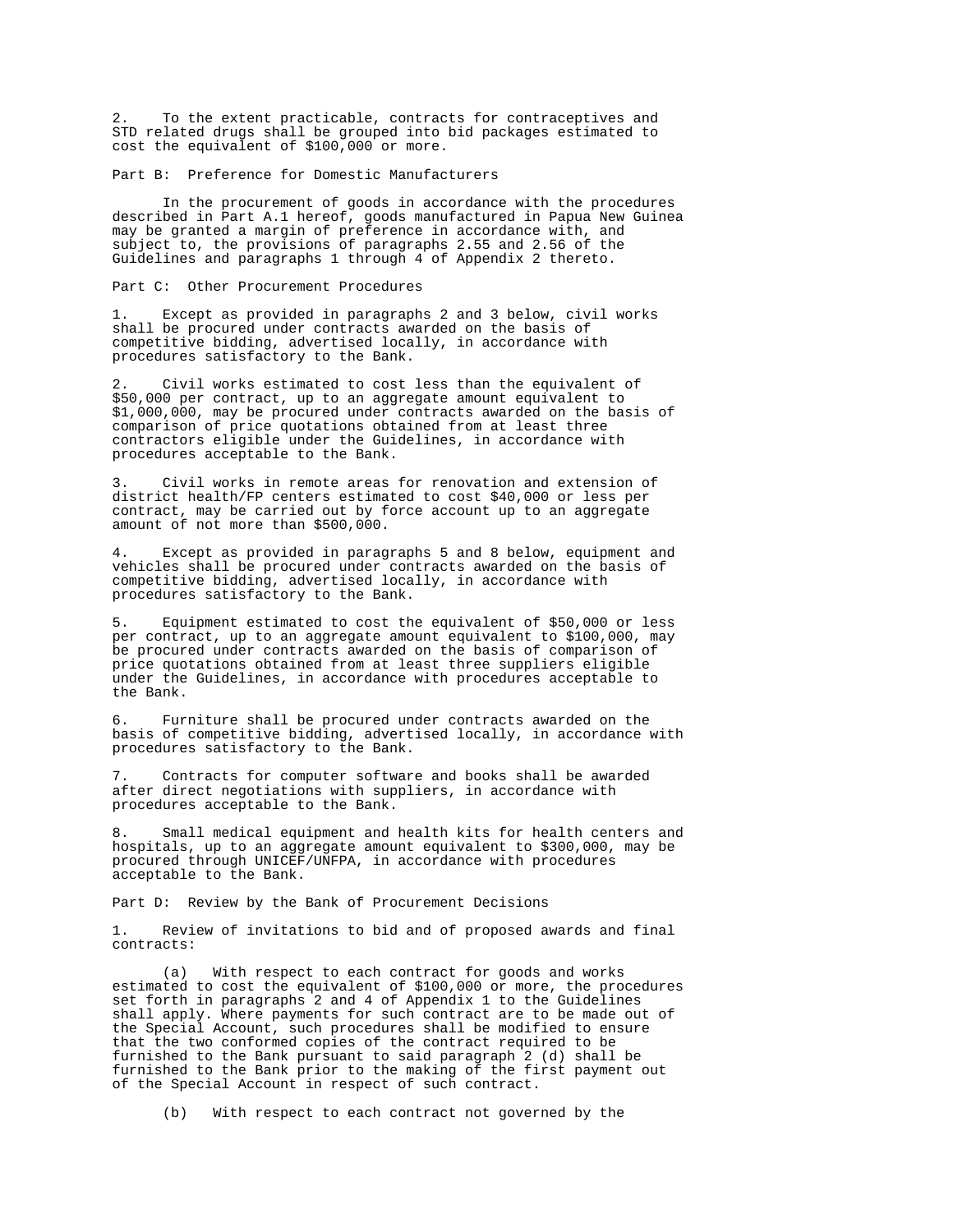2. To the extent practicable, contracts for contraceptives and STD related drugs shall be grouped into bid packages estimated to cost the equivalent of \$100,000 or more.

Part B: Preference for Domestic Manufacturers

 In the procurement of goods in accordance with the procedures described in Part A.1 hereof, goods manufactured in Papua New Guinea may be granted a margin of preference in accordance with, and subject to, the provisions of paragraphs 2.55 and 2.56 of the Guidelines and paragraphs 1 through 4 of Appendix 2 thereto.

Part C: Other Procurement Procedures

1. Except as provided in paragraphs 2 and 3 below, civil works shall be procured under contracts awarded on the basis of competitive bidding, advertised locally, in accordance with procedures satisfactory to the Bank.

Civil works estimated to cost less than the equivalent of \$50,000 per contract, up to an aggregate amount equivalent to \$1,000,000, may be procured under contracts awarded on the basis of comparison of price quotations obtained from at least three contractors eligible under the Guidelines, in accordance with procedures acceptable to the Bank.

Civil works in remote areas for renovation and extension of district health/FP centers estimated to cost \$40,000 or less per contract, may be carried out by force account up to an aggregate amount of not more than \$500,000.

4. Except as provided in paragraphs 5 and 8 below, equipment and vehicles shall be procured under contracts awarded on the basis of competitive bidding, advertised locally, in accordance with procedures satisfactory to the Bank.

5. Equipment estimated to cost the equivalent of \$50,000 or less per contract, up to an aggregate amount equivalent to \$100,000, may be procured under contracts awarded on the basis of comparison of price quotations obtained from at least three suppliers eligible under the Guidelines, in accordance with procedures acceptable to the Bank.

6. Furniture shall be procured under contracts awarded on the basis of competitive bidding, advertised locally, in accordance with procedures satisfactory to the Bank.

7. Contracts for computer software and books shall be awarded after direct negotiations with suppliers, in accordance with procedures acceptable to the Bank.

8. Small medical equipment and health kits for health centers and hospitals, up to an aggregate amount equivalent to \$300,000, may be procured through UNICEF/UNFPA, in accordance with procedures acceptable to the Bank.

Part D: Review by the Bank of Procurement Decisions

1. Review of invitations to bid and of proposed awards and final contracts:

 (a) With respect to each contract for goods and works estimated to cost the equivalent of \$100,000 or more, the procedures set forth in paragraphs 2 and 4 of Appendix 1 to the Guidelines shall apply. Where payments for such contract are to be made out of the Special Account, such procedures shall be modified to ensure that the two conformed copies of the contract required to be furnished to the Bank pursuant to said paragraph 2 (d) shall be furnished to the Bank prior to the making of the first payment out of the Special Account in respect of such contract.

(b) With respect to each contract not governed by the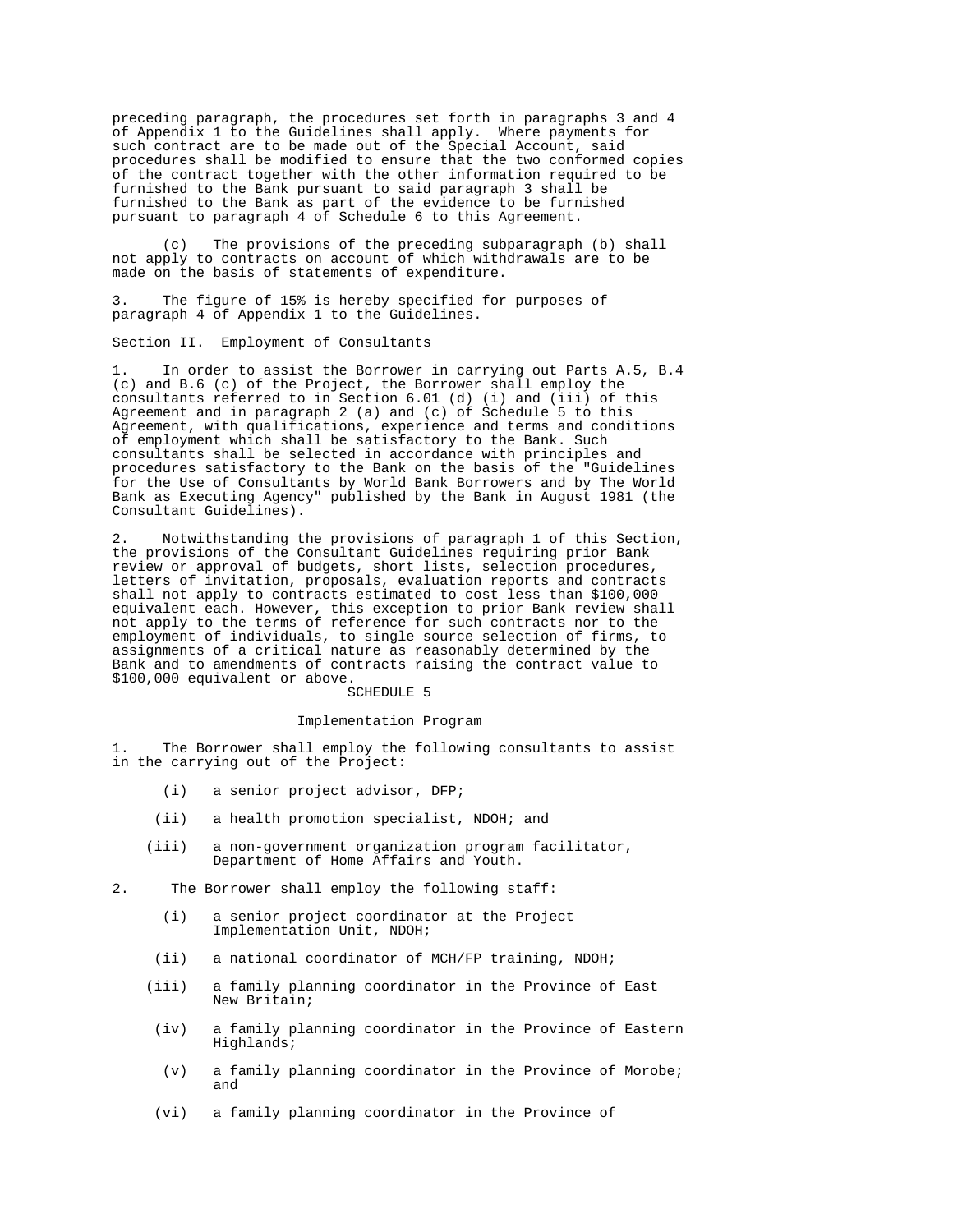preceding paragraph, the procedures set forth in paragraphs 3 and 4 of Appendix 1 to the Guidelines shall apply. Where payments for such contract are to be made out of the Special Account, said procedures shall be modified to ensure that the two conformed copies of the contract together with the other information required to be furnished to the Bank pursuant to said paragraph 3 shall be furnished to the Bank as part of the evidence to be furnished pursuant to paragraph 4 of Schedule 6 to this Agreement.

 (c) The provisions of the preceding subparagraph (b) shall not apply to contracts on account of which withdrawals are to be made on the basis of statements of expenditure.

3. The figure of 15% is hereby specified for purposes of paragraph 4 of Appendix 1 to the Guidelines.

Section II. Employment of Consultants

1. In order to assist the Borrower in carrying out Parts A.5, B.4 (c) and B.6 (c) of the Project, the Borrower shall employ the consultants referred to in Section 6.01 (d) (i) and (iii) of this Agreement and in paragraph 2 (a) and (c) of Schedule 5 to this Agreement, with qualifications, experience and terms and conditions of employment which shall be satisfactory to the Bank. Such consultants shall be selected in accordance with principles and procedures satisfactory to the Bank on the basis of the "Guidelines for the Use of Consultants by World Bank Borrowers and by The World Bank as Executing Agency" published by the Bank in August 1981 (the Consultant Guidelines).

2. Notwithstanding the provisions of paragraph 1 of this Section, the provisions of the Consultant Guidelines requiring prior Bank review or approval of budgets, short lists, selection procedures, letters of invitation, proposals, evaluation reports and contracts shall not apply to contracts estimated to cost less than \$100,000 equivalent each. However, this exception to prior Bank review shall not apply to the terms of reference for such contracts nor to the employment of individuals, to single source selection of firms, to assignments of a critical nature as reasonably determined by the Bank and to amendments of contracts raising the contract value to \$100,000 equivalent or above.

#### SCHEDULE 5

#### Implementation Program

1. The Borrower shall employ the following consultants to assist in the carrying out of the Project:

- (i) a senior project advisor, DFP;
- (ii) a health promotion specialist, NDOH; and
- (iii) a non-government organization program facilitator, Department of Home Affairs and Youth.
- 2. The Borrower shall employ the following staff:
	- (i) a senior project coordinator at the Project Implementation Unit, NDOH;
	- (ii) a national coordinator of MCH/FP training, NDOH;
	- (iii) a family planning coordinator in the Province of East New Britain;
	- (iv) a family planning coordinator in the Province of Eastern Highlands;
	- (v) a family planning coordinator in the Province of Morobe; and
	- (vi) a family planning coordinator in the Province of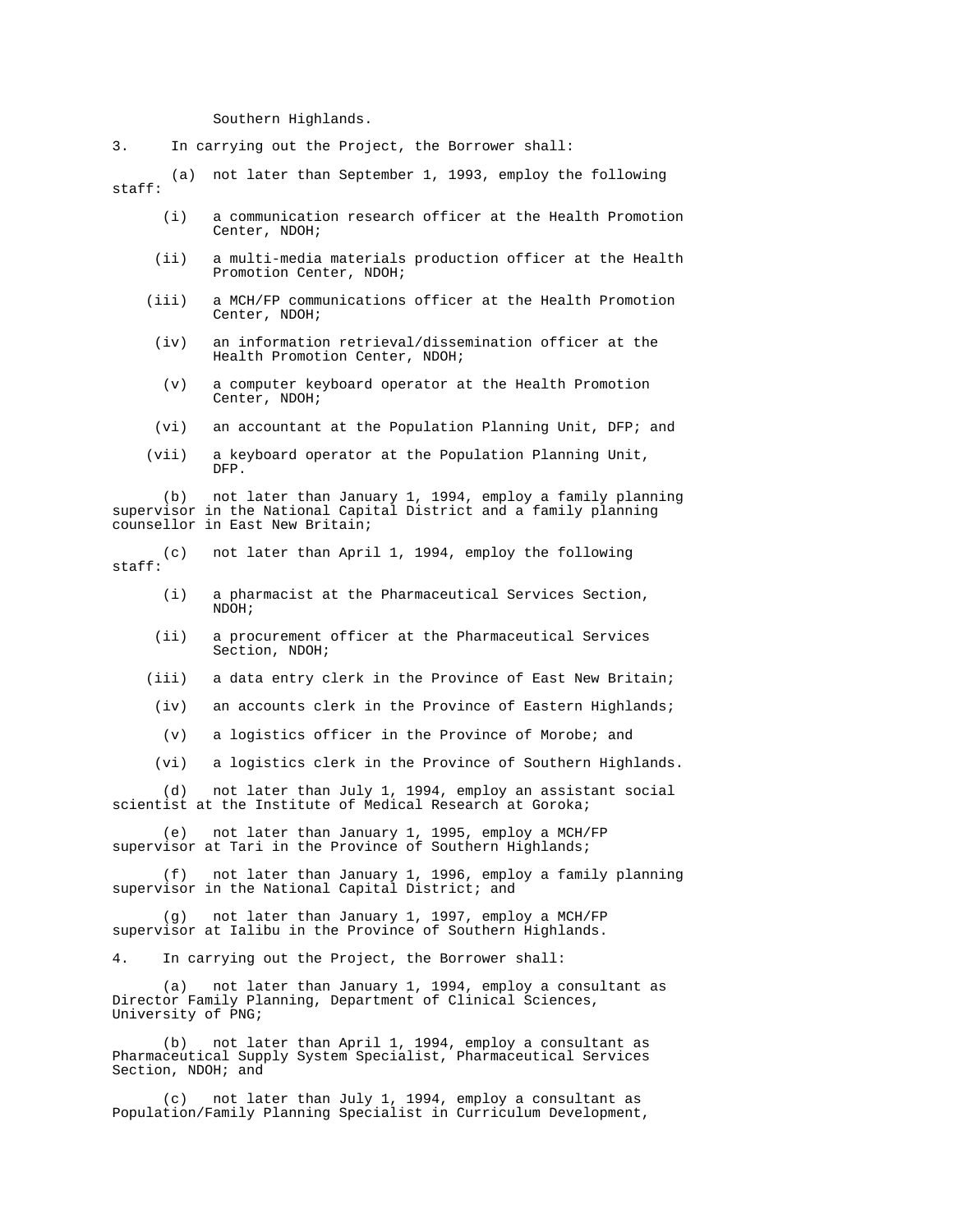Southern Highlands.

3. In carrying out the Project, the Borrower shall:

 (a) not later than September 1, 1993, employ the following staff:

- (i) a communication research officer at the Health Promotion Center, NDOH;
- (ii) a multi-media materials production officer at the Health Promotion Center, NDOH;
- (iii) a MCH/FP communications officer at the Health Promotion Center, NDOH;
- (iv) an information retrieval/dissemination officer at the Health Promotion Center, NDOH;
- (v) a computer keyboard operator at the Health Promotion Center, NDOH;
- (vi) an accountant at the Population Planning Unit, DFP; and
- (vii) a keyboard operator at the Population Planning Unit, DFP.

 (b) not later than January 1, 1994, employ a family planning supervisor in the National Capital District and a family planning counsellor in East New Britain;

not later than April 1, 1994, employ the following staff:

- (i) a pharmacist at the Pharmaceutical Services Section, NDOH;
- (ii) a procurement officer at the Pharmaceutical Services Section, NDOH;
- (iii) a data entry clerk in the Province of East New Britain;
- (iv) an accounts clerk in the Province of Eastern Highlands;
- (v) a logistics officer in the Province of Morobe; and
- (vi) a logistics clerk in the Province of Southern Highlands.

 (d) not later than July 1, 1994, employ an assistant social scientist at the Institute of Medical Research at Goroka;

 (e) not later than January 1, 1995, employ a MCH/FP supervisor at Tari in the Province of Southern Highlands;

 (f) not later than January 1, 1996, employ a family planning supervisor in the National Capital District; and

 (g) not later than January 1, 1997, employ a MCH/FP supervisor at Ialibu in the Province of Southern Highlands.

4. In carrying out the Project, the Borrower shall:

 (a) not later than January 1, 1994, employ a consultant as Director Family Planning, Department of Clinical Sciences, University of PNG;

 (b) not later than April 1, 1994, employ a consultant as Pharmaceutical Supply System Specialist, Pharmaceutical Services Section, NDOH; and

 (c) not later than July 1, 1994, employ a consultant as Population/Family Planning Specialist in Curriculum Development,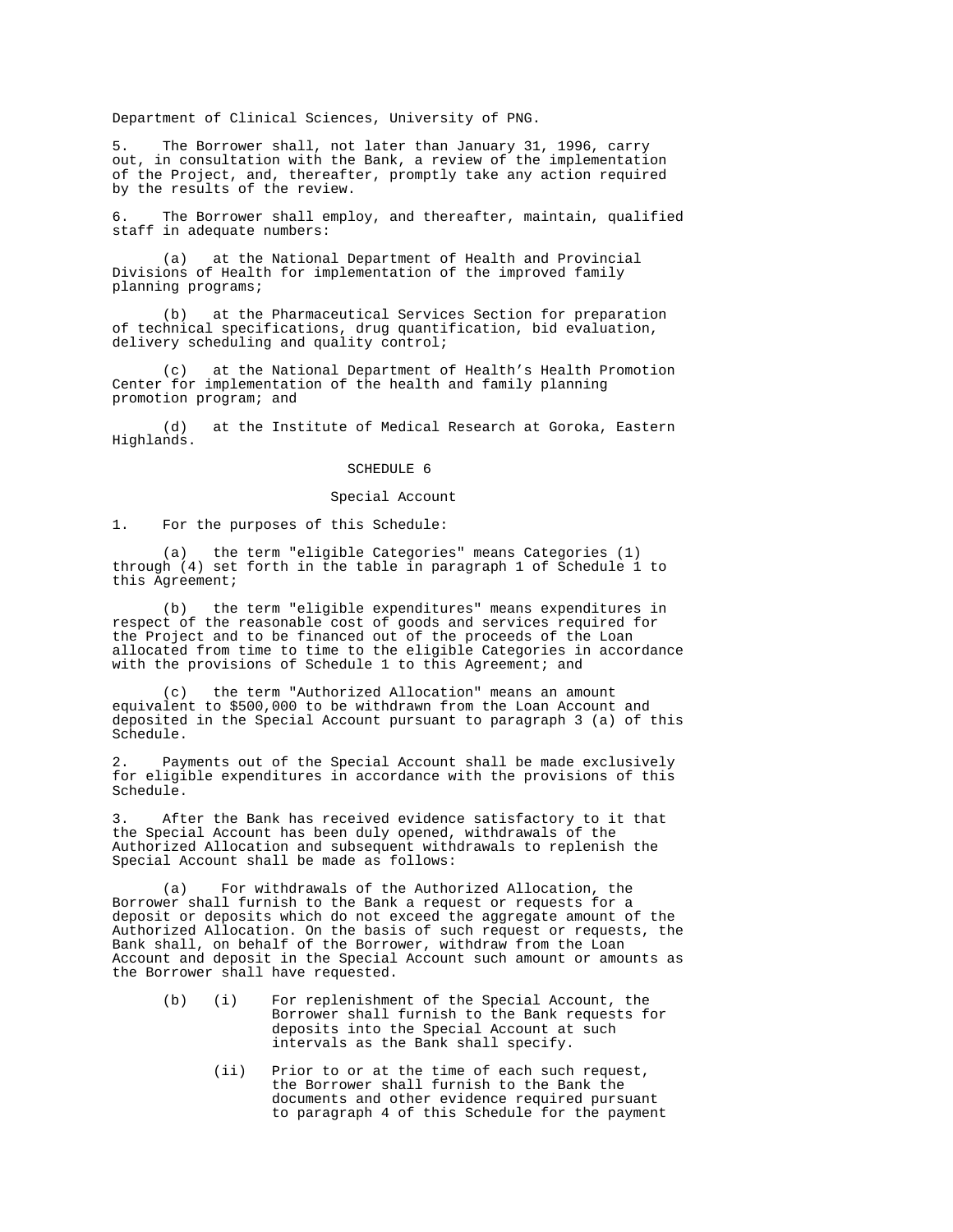Department of Clinical Sciences, University of PNG.

5. The Borrower shall, not later than January 31, 1996, carry out, in consultation with the Bank, a review of the implementation of the Project, and, thereafter, promptly take any action required by the results of the review.

6. The Borrower shall employ, and thereafter, maintain, qualified staff in adequate numbers:

 (a) at the National Department of Health and Provincial Divisions of Health for implementation of the improved family planning programs;

 (b) at the Pharmaceutical Services Section for preparation of technical specifications, drug quantification, bid evaluation, delivery scheduling and quality control;

 (c) at the National Department of Health's Health Promotion Center for implementation of the health and family planning promotion program; and

 (d) at the Institute of Medical Research at Goroka, Eastern Highlands.

# SCHEDULE 6

# Special Account

1. For the purposes of this Schedule:

 (a) the term "eligible Categories" means Categories (1) through (4) set forth in the table in paragraph 1 of Schedule 1 to this Agreement;

 (b) the term "eligible expenditures" means expenditures in respect of the reasonable cost of goods and services required for the Project and to be financed out of the proceeds of the Loan allocated from time to time to the eligible Categories in accordance with the provisions of Schedule 1 to this Agreement; and

 (c) the term "Authorized Allocation" means an amount equivalent to \$500,000 to be withdrawn from the Loan Account and deposited in the Special Account pursuant to paragraph 3 (a) of this Schedule.

Payments out of the Special Account shall be made exclusively for eligible expenditures in accordance with the provisions of this Schedule.

After the Bank has received evidence satisfactory to it that the Special Account has been duly opened, withdrawals of the Authorized Allocation and subsequent withdrawals to replenish the Special Account shall be made as follows:

 (a) For withdrawals of the Authorized Allocation, the Borrower shall furnish to the Bank a request or requests for a deposit or deposits which do not exceed the aggregate amount of the Authorized Allocation. On the basis of such request or requests, the Bank shall, on behalf of the Borrower, withdraw from the Loan Account and deposit in the Special Account such amount or amounts as the Borrower shall have requested.

- (b) (i) For replenishment of the Special Account, the Borrower shall furnish to the Bank requests for deposits into the Special Account at such intervals as the Bank shall specify.
	- (ii) Prior to or at the time of each such request, the Borrower shall furnish to the Bank the documents and other evidence required pursuant to paragraph 4 of this Schedule for the payment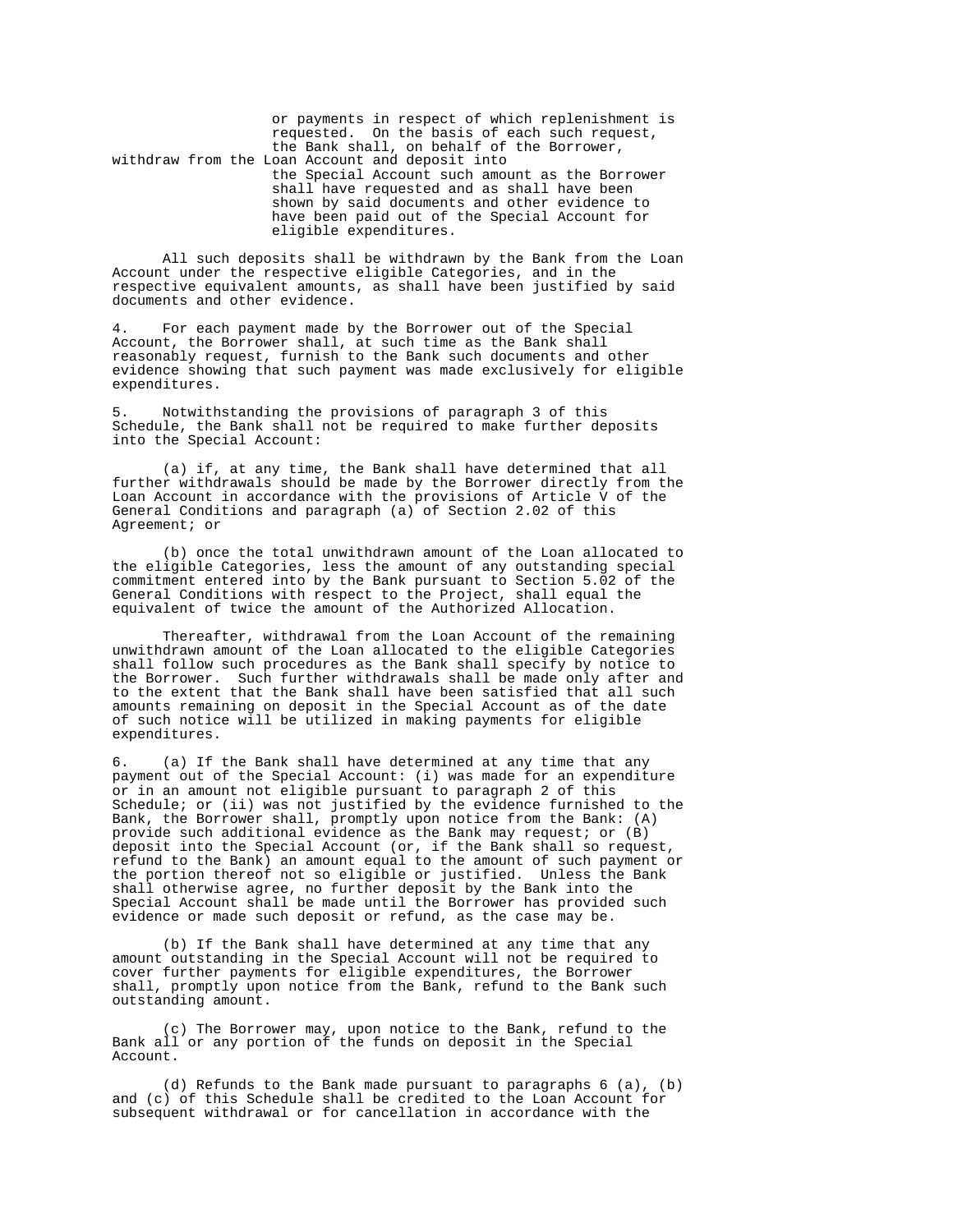or payments in respect of which replenishment is requested. On the basis of each such request, the Bank shall, on behalf of the Borrower, withdraw from the Loan Account and deposit into the Special Account such amount as the Borrower shall have requested and as shall have been shown by said documents and other evidence to have been paid out of the Special Account for eligible expenditures.

 All such deposits shall be withdrawn by the Bank from the Loan Account under the respective eligible Categories, and in the respective equivalent amounts, as shall have been justified by said documents and other evidence.

4. For each payment made by the Borrower out of the Special Account, the Borrower shall, at such time as the Bank shall reasonably request, furnish to the Bank such documents and other evidence showing that such payment was made exclusively for eligible expenditures.

5. Notwithstanding the provisions of paragraph 3 of this Schedule, the Bank shall not be required to make further deposits into the Special Account:

 (a) if, at any time, the Bank shall have determined that all further withdrawals should be made by the Borrower directly from the Loan Account in accordance with the provisions of Article V of the General Conditions and paragraph  $(a)$  of Section 2.02 of this Agreement; or

 (b) once the total unwithdrawn amount of the Loan allocated to the eligible Categories, less the amount of any outstanding special commitment entered into by the Bank pursuant to Section  $5.02$  of the General Conditions with respect to the Project, shall equal the equivalent of twice the amount of the Authorized Allocation.

 Thereafter, withdrawal from the Loan Account of the remaining unwithdrawn amount of the Loan allocated to the eligible Categories shall follow such procedures as the Bank shall specify by notice to the Borrower. Such further withdrawals shall be made only after and to the extent that the Bank shall have been satisfied that all such amounts remaining on deposit in the Special Account as of the date of such notice will be utilized in making payments for eligible expenditures.

6. (a) If the Bank shall have determined at any time that any payment out of the Special Account: (i) was made for an expenditure or in an amount not eligible pursuant to paragraph 2 of this Schedule; or (ii) was not justified by the evidence furnished to the Bank, the Borrower shall, promptly upon notice from the Bank: (A) provide such additional evidence as the Bank may request; or (B) deposit into the Special Account (or, if the Bank shall so request, refund to the Bank) an amount equal to the amount of such payment or the portion thereof not so eligible or justified. Unless the Bank shall otherwise agree, no further deposit by the Bank into the Special Account shall be made until the Borrower has provided such evidence or made such deposit or refund, as the case may be.

 (b) If the Bank shall have determined at any time that any amount outstanding in the Special Account will not be required to cover further payments for eligible expenditures, the Borrower shall, promptly upon notice from the Bank, refund to the Bank such outstanding amount.

 (c) The Borrower may, upon notice to the Bank, refund to the Bank all or any portion of the funds on deposit in the Special Account.

 (d) Refunds to the Bank made pursuant to paragraphs 6 (a), (b) and (c) of this Schedule shall be credited to the Loan Account for subsequent withdrawal or for cancellation in accordance with the